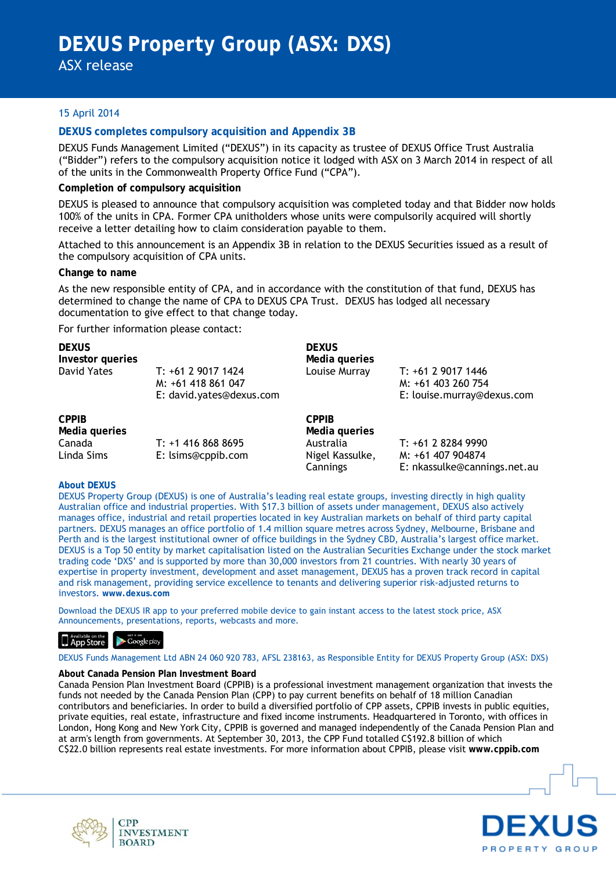ASX release

# 15 April 2014

# **DEXUS completes compulsory acquisition and Appendix 3B**

DEXUS Funds Management Limited ("DEXUS") in its capacity as trustee of DEXUS Office Trust Australia ("Bidder") refers to the compulsory acquisition notice it lodged with ASX on 3 March 2014 in respect of all of the units in the Commonwealth Property Office Fund ("CPA").

## **Completion of compulsory acquisition**

DEXUS is pleased to announce that compulsory acquisition was completed today and that Bidder now holds 100% of the units in CPA. Former CPA unitholders whose units were compulsorily acquired will shortly receive a letter detailing how to claim consideration payable to them.

Attached to this announcement is an Appendix 3B in relation to the DEXUS Securities issued as a result of the compulsory acquisition of CPA units.

## **Change to name**

As the new responsible entity of CPA, and in accordance with the constitution of that fund, DEXUS has determined to change the name of CPA to DEXUS CPA Trust. DEXUS has lodged all necessary documentation to give effect to that change today.

For further information please contact:

| <b>DEXUS</b><br>Investor queries |                                                                      | <b>DEXUS</b><br>Media queries |                                                                        |
|----------------------------------|----------------------------------------------------------------------|-------------------------------|------------------------------------------------------------------------|
| David Yates                      | T: +61 2 9017 1424<br>M: +61 418 861 047<br>E: david.yates@dexus.com | Louise Murray                 | T: +61 2 9017 1446<br>M: +61 403 260 754<br>E: louise.murray@dexus.com |
| <b>CPPIB</b><br>Media queries    |                                                                      | <b>CPPIB</b><br>Media queries |                                                                        |
| Canada<br>Linda Sims             | $T: +14168688695$<br>E: lsims@cppib.com                              | Australia<br>Nigel Kassulke,  | T: +61 2 8284 9990<br>M: +61 407 904874                                |

## **About DEXUS**

DEXUS Property Group (DEXUS) is one of Australia's leading real estate groups, investing directly in high quality Australian office and industrial properties. With \$17.3 billion of assets under management, DEXUS also actively manages office, industrial and retail properties located in key Australian markets on behalf of third party capital partners. DEXUS manages an office portfolio of 1.4 million square metres across Sydney, Melbourne, Brisbane and Perth and is the largest institutional owner of office buildings in the Sydney CBD, Australia's largest office market. DEXUS is a Top 50 entity by market capitalisation listed on the Australian Securities Exchange under the stock market trading code 'DXS' and is supported by more than 30,000 investors from 21 countries. With nearly 30 years of expertise in property investment, development and asset management, DEXUS has a proven track record in capital and risk management, providing service excellence to tenants and delivering superior risk-adjusted returns to investors. **www.dexus.com**

Cannings

E: nkassulke@cannings.net.au

Download the DEXUS IR app to your preferred mobile device to gain instant access to the latest stock price, ASX Announcements, presentations, reports, webcasts and more.

# App Store Coogle play

**CPP** 

**BOARD** 

#### DEXUS Funds Management Ltd ABN 24 060 920 783, AFSL 238163, as Responsible Entity for DEXUS Property Group (ASX: DXS)

#### **About Canada Pension Plan Investment Board**

Canada Pension Plan Investment Board (CPPIB) is a professional investment management organization that invests the funds not needed by the Canada Pension Plan (CPP) to pay current benefits on behalf of 18 million Canadian contributors and beneficiaries. In order to build a diversified portfolio of CPP assets, CPPIB invests in public equities, private equities, real estate, infrastructure and fixed income instruments. Headquartered in Toronto, with offices in London, Hong Kong and New York City, CPPIB is governed and managed independently of the Canada Pension Plan and at arm's length from governments. At September 30, 2013, the CPP Fund totalled C\$192.8 billion of which C\$22.0 billion represents real estate investments. For more information about CPPIB, please visit **www.cppib.com**



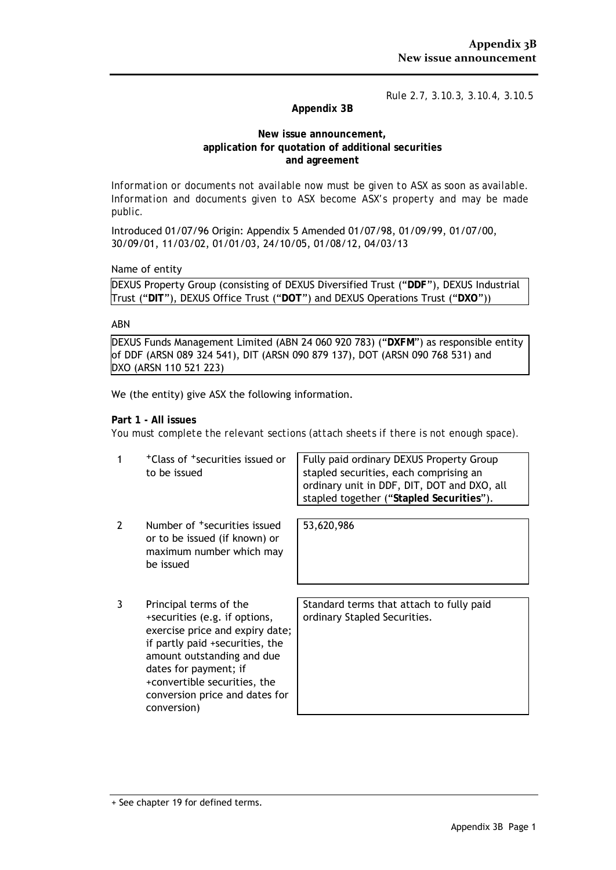*Rule 2.7, 3.10.3, 3.10.4, 3.10.5*

# **Appendix 3B**

## **New issue announcement, application for quotation of additional securities and agreement**

*Information or documents not available now must be given to ASX as soon as available. Information and documents given to ASX become ASX's property and may be made public.*

Introduced 01/07/96 Origin: Appendix 5 Amended 01/07/98, 01/09/99, 01/07/00, 30/09/01, 11/03/02, 01/01/03, 24/10/05, 01/08/12, 04/03/13

Name of entity

DEXUS Property Group (consisting of DEXUS Diversified Trust ("**DDF**"), DEXUS Industrial Trust ("**DIT**"), DEXUS Office Trust ("**DOT**") and DEXUS Operations Trust ("**DXO**"))

## ABN

DEXUS Funds Management Limited (ABN 24 060 920 783) ("**DXFM**") as responsible entity of DDF (ARSN 089 324 541), DIT (ARSN 090 879 137), DOT (ARSN 090 768 531) and DXO (ARSN 110 521 223)

We (the entity) give ASX the following information.

## **Part 1 - All issues**

*You must complete the relevant sections (attach sheets if there is not enough space).*

| <sup>+</sup> Class of <sup>+</sup> securities issued or | Fully paid ordinary DEXUS Property Group    |
|---------------------------------------------------------|---------------------------------------------|
| to be issued                                            | stapled securities, each comprising an      |
|                                                         | ordinary unit in DDF, DIT, DOT and DXO, all |
|                                                         | I stapled together ("Stapled Securities").  |

53,620,986

- 2 Number of <sup>+</sup>securities issued or to be issued (if known) or maximum number which may be issued
- 3 Principal terms of the +securities (e.g. if options, exercise price and expiry date; if partly paid +securities, the amount outstanding and due dates for payment; if +convertible securities, the conversion price and dates for conversion)

Standard terms that attach to fully paid ordinary Stapled Securities.

<sup>+</sup> See chapter 19 for defined terms.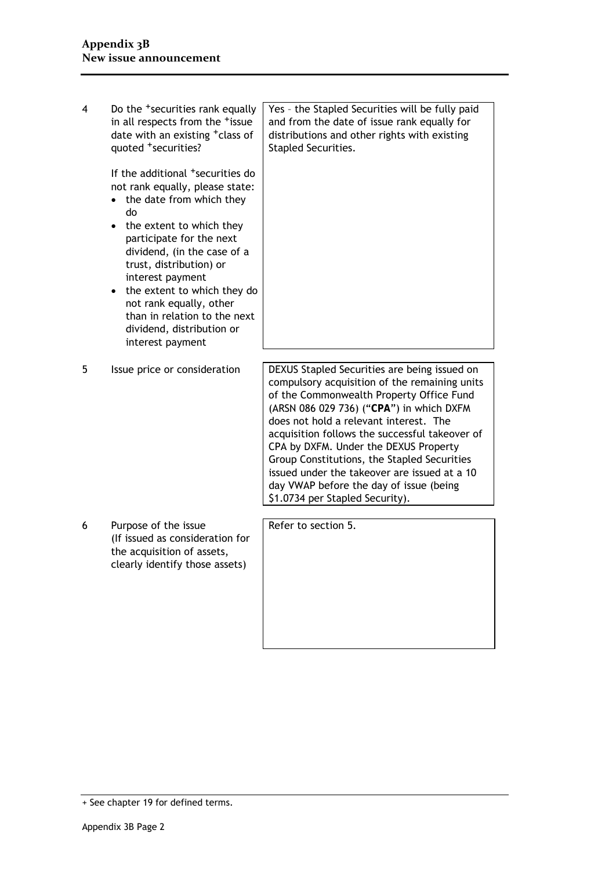4 Do the <sup>+</sup>securities rank equally in all respects from the <sup>+</sup>issue date with an existing <sup>+</sup>class of quoted +securities? If the additional <sup>+</sup>securities do not rank equally, please state: • the date from which they do • the extent to which they participate for the next dividend, (in the case of a trust, distribution) or interest payment • the extent to which they do not rank equally, other than in relation to the next dividend, distribution or interest payment Yes – the Stapled Securities will be fully paid and from the date of issue rank equally for distributions and other rights with existing Stapled Securities. 5 Issue price or consideration | DEXUS Stapled Securities are being issued on compulsory acquisition of the remaining units of the Commonwealth Property Office Fund (ARSN 086 029 736) ("**CPA**") in which DXFM does not hold a relevant interest. The acquisition follows the successful takeover of CPA by DXFM. Under the DEXUS Property Group Constitutions, the Stapled Securities issued under the takeover are issued at a 10 day VWAP before the day of issue (being \$1.0734 per Stapled Security). 6 Purpose of the issue (If issued as consideration for the acquisition of assets, clearly identify those assets) Refer to section 5.

<sup>+</sup> See chapter 19 for defined terms.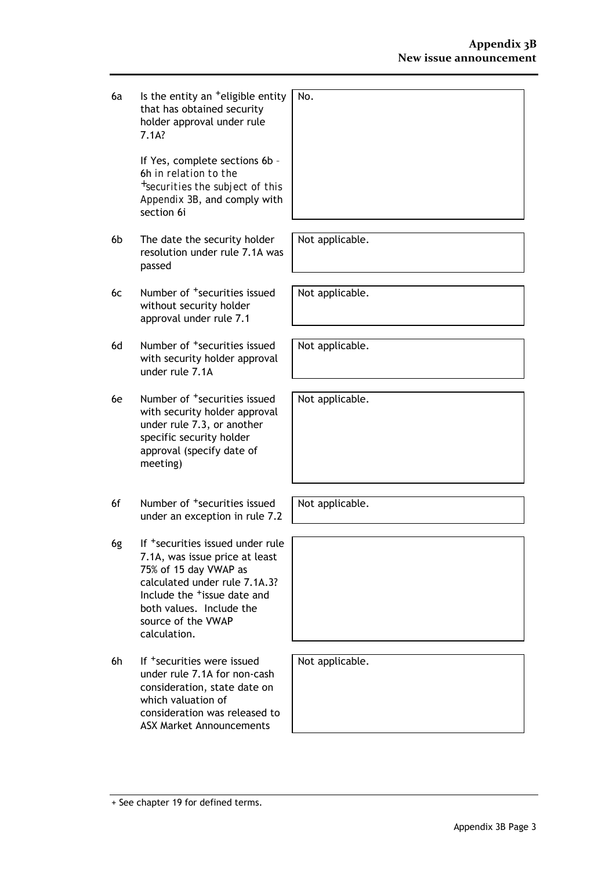$6a$  Is the entity an  $+$ eligible entity that has obtained security holder approval under rule 7.1A?  $\overline{\mathsf{N}}$ 

> If Yes, complete sections 6b – 6h *in relation to the +securities the subject of this Appendix 3B*, and comply with section 6i

- 6b The date the security holder resolution under rule 7.1A was passed
- 6c Number of +securities issued without security holder approval under rule 7.1
- 6d Number of <sup>+</sup>securities issued with security holder approval under rule 7.1A
- 6e Number of +securities issued with security holder approval under rule 7.3, or another specific security holder approval (specify date of meeting)
- 6f Number of <sup>+</sup>securities issued under an exception in rule 7.2
- 6g If +securities issued under rule 7.1A, was issue price at least 75% of 15 day VWAP as calculated under rule 7.1A.3? Include the +issue date and both values. Include the source of the VWAP calculation.
- 6h If <sup>+</sup>securities were issued under rule 7.1A for non-cash consideration, state date on which valuation of consideration was released to ASX Market Announcements

| lo. |  |  |  |
|-----|--|--|--|
|     |  |  |  |
|     |  |  |  |
|     |  |  |  |
|     |  |  |  |
|     |  |  |  |
|     |  |  |  |
|     |  |  |  |

Not applicable.

Not applicable.

Not applicable.

Not applicable.

Not applicable.

Not applicable.

<sup>+</sup> See chapter 19 for defined terms.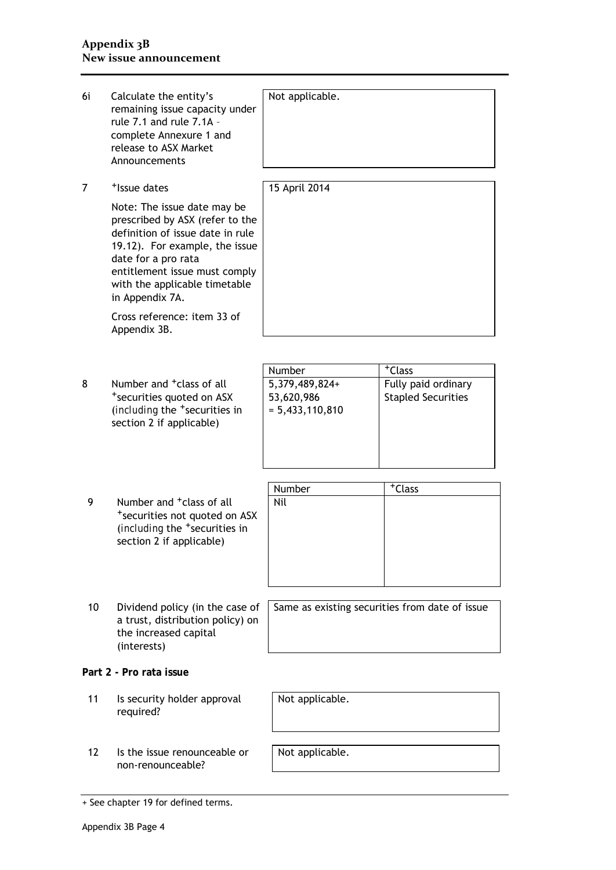| 6i | Calculate the entity's<br>remaining issue capacity under<br>rule 7.1 and rule 7.1A -<br>complete Annexure 1 and<br>release to ASX Market<br>Announcements                                                                                        | Not applicable.                                             |                                                                        |
|----|--------------------------------------------------------------------------------------------------------------------------------------------------------------------------------------------------------------------------------------------------|-------------------------------------------------------------|------------------------------------------------------------------------|
| 7  | <sup>+</sup> Issue dates                                                                                                                                                                                                                         | 15 April 2014                                               |                                                                        |
|    | Note: The issue date may be<br>prescribed by ASX (refer to the<br>definition of issue date in rule<br>19.12). For example, the issue<br>date for a pro rata<br>entitlement issue must comply<br>with the applicable timetable<br>in Appendix 7A. |                                                             |                                                                        |
|    | Cross reference: item 33 of<br>Appendix 3B.                                                                                                                                                                                                      |                                                             |                                                                        |
| 8  | Number and <sup>+</sup> class of all<br>*securities quoted on ASX<br>(including the <sup>+</sup> securities in<br>section 2 if applicable)                                                                                                       | Number<br>5,379,489,824+<br>53,620,986<br>$= 5,433,110,810$ | <sup>+</sup> Class<br>Fully paid ordinary<br><b>Stapled Securities</b> |
| 9  | Number and <sup>+</sup> class of all<br>*securities not quoted on ASX<br>(including the <sup>+</sup> securities in<br>section 2 if applicable)                                                                                                   | Number<br>Nil                                               | <sup>+</sup> Class                                                     |
| 10 | Dividend policy (in the case of<br>a trust, distribution policy) on<br>the increased capital<br>(interests)                                                                                                                                      | Same as existing securities from date of issue              |                                                                        |
|    | Part 2 - Pro rata issue                                                                                                                                                                                                                          |                                                             |                                                                        |
| 11 | Is security holder approval<br>required?                                                                                                                                                                                                         | Not applicable.                                             |                                                                        |
| 12 | Is the issue renounceable or<br>non-renounceable?                                                                                                                                                                                                | Not applicable.                                             |                                                                        |
|    |                                                                                                                                                                                                                                                  |                                                             |                                                                        |

<sup>+</sup> See chapter 19 for defined terms.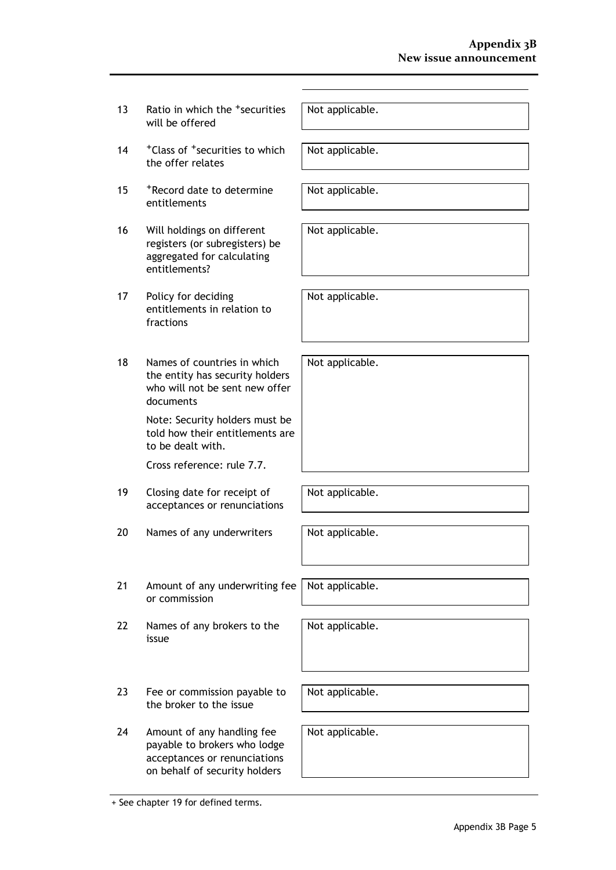- 13 Ratio in which the <sup>+</sup>securities will be offered
- 14 + Class of + securities to which the offer relates
- 15 +Record date to determine entitlements
- 16 Will holdings on different registers (or subregisters) be aggregated for calculating entitlements?
- 17 Policy for deciding entitlements in relation to fractions
- 18 Names of countries in which the entity has security holders who will not be sent new offer documents

Note: Security holders must be told how their entitlements are to be dealt with.

Cross reference: rule 7.7.

- 19 Closing date for receipt of acceptances or renunciations
- 20 Names of any underwriters Not applicable.
- 21 Amount of any underwriting fee or commission
- 22 Names of any brokers to the issue
- 23 Fee or commission payable to the broker to the issue
- 24 Amount of any handling fee payable to brokers who lodge acceptances or renunciations on behalf of security holders

Not applicable.

Not applicable.

Not applicable.

Not applicable.

Not applicable.

Not applicable.

Not applicable.

Not applicable.

Not applicable.

Not applicable.

Not applicable.

+ See chapter 19 for defined terms.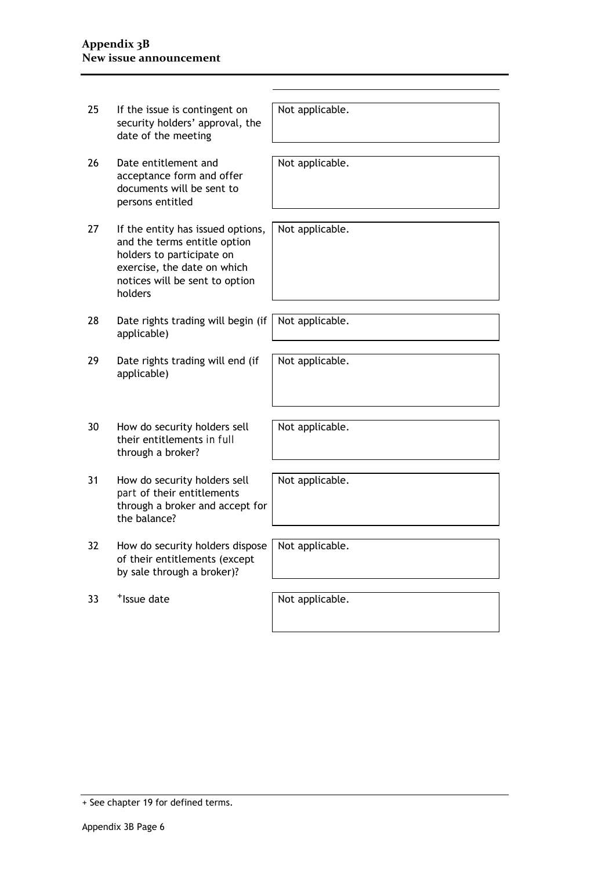| 25 | If the issue is contingent on<br>security holders' approval, the<br>date of the meeting                                                                                    | Not applicable. |
|----|----------------------------------------------------------------------------------------------------------------------------------------------------------------------------|-----------------|
| 26 | Date entitlement and<br>acceptance form and offer<br>documents will be sent to<br>persons entitled                                                                         | Not applicable. |
| 27 | If the entity has issued options,<br>and the terms entitle option<br>holders to participate on<br>exercise, the date on which<br>notices will be sent to option<br>holders | Not applicable. |
| 28 | Date rights trading will begin (if<br>applicable)                                                                                                                          | Not applicable. |
| 29 | Date rights trading will end (if<br>applicable)                                                                                                                            | Not applicable. |
| 30 | How do security holders sell<br>their entitlements in full<br>through a broker?                                                                                            | Not applicable. |
| 31 | How do security holders sell<br>part of their entitlements<br>through a broker and accept for<br>the balance?                                                              | Not applicable. |
| 32 | How do security holders dispose<br>of their entitlements (except<br>by sale through a broker)?                                                                             | Not applicable. |
| 33 | <sup>+</sup> Issue date                                                                                                                                                    | Not applicable. |

<sup>+</sup> See chapter 19 for defined terms.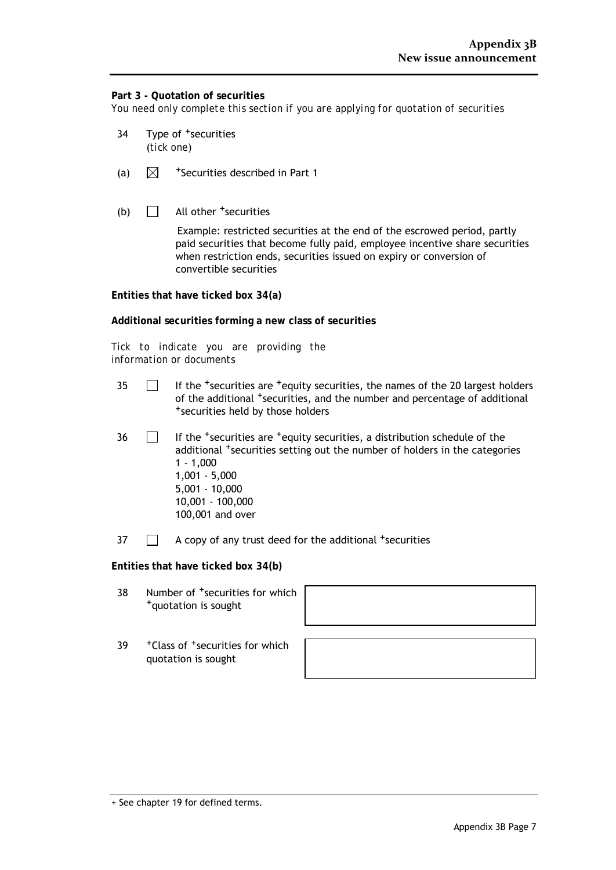# **Part 3 - Quotation of securities**

*You need only complete this section if you are applying for quotation of securities*

- 34 Type of <sup>+</sup>securities (*tick one*)
- (a)  $\mathbb N$  <sup>+</sup>Securities described in Part 1
- (b)  $\Box$  All other <sup>+</sup>securities

Example: restricted securities at the end of the escrowed period, partly paid securities that become fully paid, employee incentive share securities when restriction ends, securities issued on expiry or conversion of convertible securities

**Entities that have ticked box 34(a)**

**Additional securities forming a new class of securities**

*Tick to indicate you are providing the information or documents*

- $35$  If the <sup>+</sup>securities are  $+$ equity securities, the names of the 20 largest holders of the additional <sup>+</sup>securities, and the number and percentage of additional +securities held by those holders
- $36$  If the <sup>+</sup>securities are <sup>+</sup>equity securities, a distribution schedule of the additional <sup>+</sup>securities setting out the number of holders in the categories 1 - 1,000 1,001 - 5,000 5,001 - 10,000 10,001 - 100,000 100,001 and over
- $37$   $\Box$  A copy of any trust deed for the additional +securities

**Entities that have ticked box 34(b)**

- 38 Number of  $+$ securities for which  $+$ quotation is sought
- 39 + Class of <sup>+</sup>securities for which quotation is sought



<sup>+</sup> See chapter 19 for defined terms.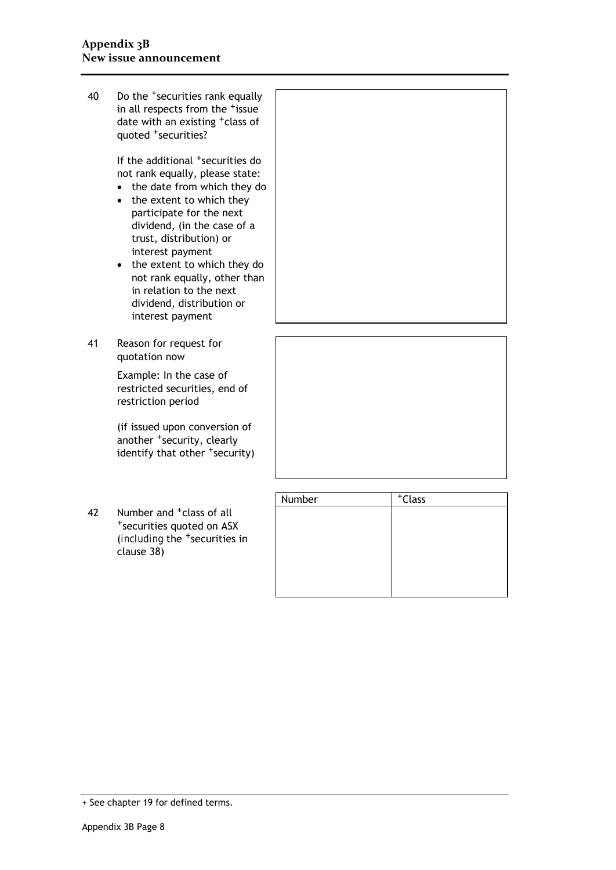40 Do the +securities rank equally in all respects from the <sup>+</sup>issue date with an existing <sup>+</sup>class of quoted +securities?

> If the additional <sup>+</sup>securities do not rank equally, please state:

- the date from which they do
- the extent to which they participate for the next dividend, (in the case of a trust, distribution) or interest payment
- the extent to which they do not rank equally, other than in relation to the next dividend, distribution or interest payment
- 41 Reason for request for quotation now

Example: In the case of restricted securities, end of restriction period

(if issued upon conversion of another <sup>+</sup>security, clearly identify that other <sup>+</sup>security)

42 Number and <sup>+</sup>class of all<br><sup>+</sup>securities quoted on ASX (*including* the +securities in clause 38)



| Number | $-t$ Class |  |
|--------|------------|--|
|        |            |  |
|        |            |  |
|        |            |  |
|        |            |  |
|        |            |  |
|        |            |  |

<sup>+</sup> See chapter 19 for defined terms.